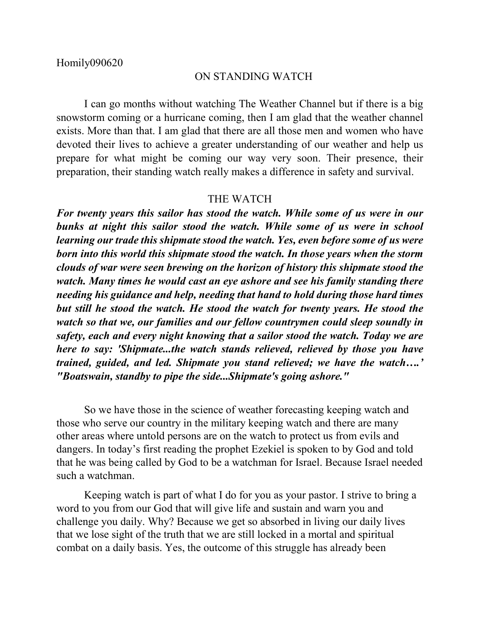## ON STANDING WATCH

I can go months without watching The Weather Channel but if there is a big snowstorm coming or a hurricane coming, then I am glad that the weather channel exists. More than that. I am glad that there are all those men and women who have devoted their lives to achieve a greater understanding of our weather and help us prepare for what might be coming our way very soon. Their presence, their preparation, their standing watch really makes a difference in safety and survival.

## THE WATCH

*For twenty years this sailor has stood the watch. While some of us were in our bunks at night this sailor stood the watch. While some of us were in school learning our trade this shipmate stood the watch. Yes, even before some of us were born into this world this shipmate stood the watch. In those years when the storm clouds of war were seen brewing on the horizon of history this shipmate stood the watch. Many times he would cast an eye ashore and see his family standing there needing his guidance and help, needing that hand to hold during those hard times but still he stood the watch. He stood the watch for twenty years. He stood the watch so that we, our families and our fellow countrymen could sleep soundly in safety, each and every night knowing that a sailor stood the watch. Today we are here to say: 'Shipmate...the watch stands relieved, relieved by those you have trained, guided, and led. Shipmate you stand relieved; we have the watch….' "Boatswain, standby to pipe the side...Shipmate's going ashore."*

So we have those in the science of weather forecasting keeping watch and those who serve our country in the military keeping watch and there are many other areas where untold persons are on the watch to protect us from evils and dangers. In today's first reading the prophet Ezekiel is spoken to by God and told that he was being called by God to be a watchman for Israel. Because Israel needed such a watchman.

Keeping watch is part of what I do for you as your pastor. I strive to bring a word to you from our God that will give life and sustain and warn you and challenge you daily. Why? Because we get so absorbed in living our daily lives that we lose sight of the truth that we are still locked in a mortal and spiritual combat on a daily basis. Yes, the outcome of this struggle has already been